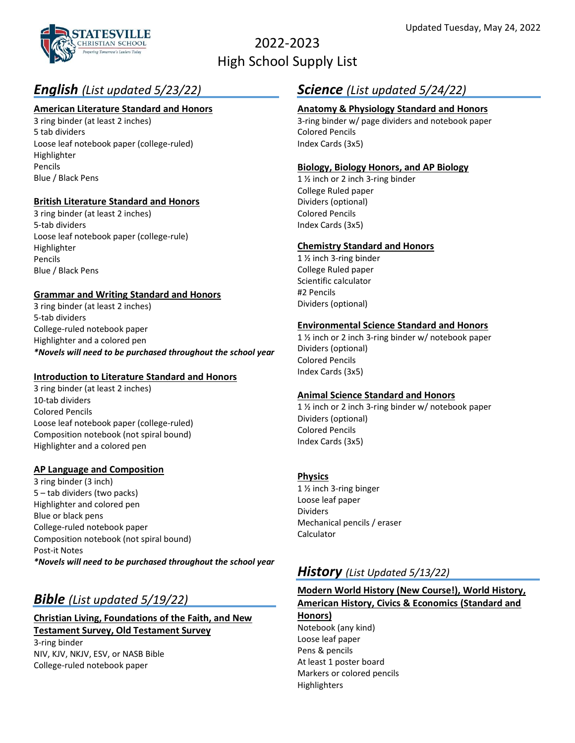

# 2022-2023 High School Supply List

# *English (List updated 5/23/22)*

### **American Literature Standard and Honors**

3 ring binder (at least 2 inches) 5 tab dividers Loose leaf notebook paper (college-ruled) Highlighter Pencils Blue / Black Pens

### **British Literature Standard and Honors**

3 ring binder (at least 2 inches) 5-tab dividers Loose leaf notebook paper (college-rule) Highlighter Pencils Blue / Black Pens

### **Grammar and Writing Standard and Honors**

3 ring binder (at least 2 inches) 5-tab dividers College-ruled notebook paper Highlighter and a colored pen *\*Novels will need to be purchased throughout the school year*

### **Introduction to Literature Standard and Honors**

3 ring binder (at least 2 inches) 10-tab dividers Colored Pencils Loose leaf notebook paper (college-ruled) Composition notebook (not spiral bound) Highlighter and a colored pen

### **AP Language and Composition**

3 ring binder (3 inch) 5 – tab dividers (two packs) Highlighter and colored pen Blue or black pens College-ruled notebook paper Composition notebook (not spiral bound) Post-it Notes *\*Novels will need to be purchased throughout the school year*

## *Bible (List updated 5/19/22)*

## **Christian Living, Foundations of the Faith, and New Testament Survey, Old Testament Survey**

3-ring binder NIV, KJV, NKJV, ESV, or NASB Bible College-ruled notebook paper

## *Science (List updated 5/24/22)*

### **Anatomy & Physiology Standard and Honors**

3-ring binder w/ page dividers and notebook paper Colored Pencils Index Cards (3x5)

### **Biology, Biology Honors, and AP Biology**

1 ½ inch or 2 inch 3-ring binder College Ruled paper Dividers (optional) Colored Pencils Index Cards (3x5)

### **Chemistry Standard and Honors**

1 ½ inch 3-ring binder College Ruled paper Scientific calculator #2 Pencils Dividers (optional)

### **Environmental Science Standard and Honors**

1 ½ inch or 2 inch 3-ring binder w/ notebook paper Dividers (optional) Colored Pencils Index Cards (3x5)

### **Animal Science Standard and Honors**

1 ½ inch or 2 inch 3-ring binder w/ notebook paper Dividers (optional) Colored Pencils Index Cards (3x5)

### **Physics**

1 ½ inch 3-ring binger Loose leaf paper Dividers Mechanical pencils / eraser Calculator

### *History (List Updated 5/13/22)*

### **Modern World History (New Course!), World History, American History, Civics & Economics (Standard and Honors)** Notebook (any kind) Loose leaf paper

Pens & pencils At least 1 poster board Markers or colored pencils Highlighters